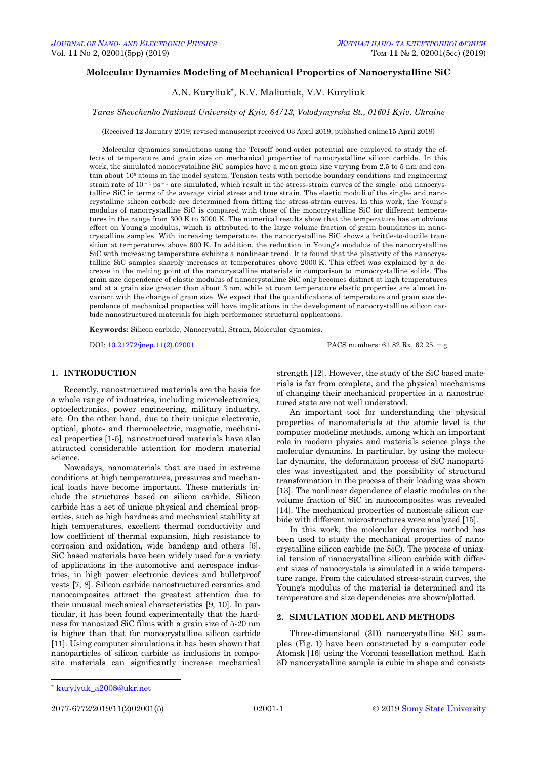# **Molecular Dynamics Modeling of Mechanical Properties of Nanocrystalline SiC**

A.N. Kuryliuk\*, K.V. Maliutiak, V.V. Kuryliuk

## *Taras Shevchenko National University of Kyiv, 64/13, Volodymyrska St., 01601 Kyiv, Ukraine*

(Received 12 January 2019; revised manuscript received 03 April 2019; published online15 April 2019)

Molecular dynamics simulations using the Tersoff bond-order potential are employed to study the effects of temperature and grain size on mechanical properties of nanocrystalline silicon carbide. In this work, the simulated nanocrystalline SiC samples have a mean grain size varying from 2.5 to 5 nm and contain about 10<sup>5</sup> atoms in the model system. Tension tests with periodic boundary conditions and engineering strain rate of  $10^{-4}$  ps<sup>-1</sup> are simulated, which result in the stress-strain curves of the single- and nanocrystalline SiC in terms of the average virial stress and true strain. The elastic moduli of the single- and nanocrystalline silicon carbide are determined from fitting the stress-strain curves. In this work, the Young's modulus of nanocrystalline SiC is compared with those of the monocrystalline SiC for different temperatures in the range from 300 K to 3000 K. The numerical results show that the temperature has an obvious effect on Young's modulus, which is attributed to the large volume fraction of grain boundaries in nanocrystalline samples. With increasing temperature, the nanocrystalline SiC shows a brittle-to-ductile transition at temperatures above 600 K. In addition, the reduction in Young's modulus of the nanocrystalline SiC with increasing temperature exhibits a nonlinear trend. It is found that the plasticity of the nanocrystalline SiC samples sharply increases at temperatures above 2000 K. This effect was explained by a decrease in the melting point of the nanocrystalline materials in comparison to monocrystalline solids. The grain size dependence of elastic modulus of nanocrystalline SiC only becomes distinct at high temperatures and at a grain size greater than about 3 nm, while at room temperature elastic properties are almost invariant with the change of grain size. We expect that the quantifications of temperature and grain size dependence of mechanical properties will have implications in the development of nanocrystalline silicon carbide nanostructured materials for high performance structural applications.

**Keywords:** Silicon carbide, Nanocrystal, Strain, Molecular dynamics.

DOI: [10.21272/jnep.11\(2\).02001](https://doi.org/10.21272/jnep.11(2).02001) PACS numbers: 61.82.Rx, 62.25. − g

# **1. INTRODUCTION**

Recently, nanostructured materials are the basis for a whole range of industries, including microelectronics, optoelectronics, power engineering, military industry, etc. On the other hand, due to their unique electronic, optical, photo- and thermoelectric, magnetic, mechanical properties [1-5], nanostructured materials have also attracted considerable attention for modern material science.

Nowadays, nanomaterials that are used in extreme conditions at high temperatures, pressures and mechanical loads have become important. These materials include the structures based on silicon carbide. Silicon carbide has a set of unique physical and chemical properties, such as high hardness and mechanical stability at high temperatures, excellent thermal conductivity and low coefficient of thermal expansion, high resistance to corrosion and oxidation, wide bandgap and others [6]. SiC based materials have been widely used for a variety of applications in the automotive and aerospace industries, in high power electronic devices and bulletproof vests [7, 8]. Silicon carbide nanostructured ceramics and nanocomposites attract the greatest attention due to their unusual mechanical characteristics [9, 10]. In particular, it has been found experimentally that the hardness for nanosized SiC films with a grain size of 5-20 nm is higher than that for monocrystalline silicon carbide [11]. Using computer simulations it has been shown that nanoparticles of silicon carbide as inclusions in composite materials can significantly increase mechanical

strength [12]. However, the study of the SiC based materials is far from complete, and the physical mechanisms of changing their mechanical properties in a nanostructured state are not well understood.

An important tool for understanding the physical properties of nanomaterials at the atomic level is the computer modeling methods, among which an important role in modern physics and materials science plays the molecular dynamics. In particular, by using the molecular dynamics, the deformation process of SiC nanoparticles was investigated and the possibility of structural transformation in the process of their loading was shown [13]. The nonlinear dependence of elastic modules on the volume fraction of SiC in nanocomposites was revealed [14]. The mechanical properties of nanoscale silicon carbide with different microstructures were analyzed [15].

In this work, the molecular dynamics method has been used to study the mechanical properties of nanocrystalline silicon carbide (nc-SiC). The process of uniaxial tension of nanocrystalline silicon carbide with different sizes of nanocrystals is simulated in a wide temperature range. From the calculated stress-strain curves, the Young's modulus of the material is determined and its temperature and size dependencies are shown/plotted.

## **2. SIMULATION MODEL AND METHODS**

Three-dimensional (3D) nanocrystalline SiC samples (Fig. 1) have been constructed by a computer code Atomsk [16] using the Voronoi tessellation method. Each 3D nanocrystalline sample is cubic in shape and consists

-

<span id="page-0-3"></span><span id="page-0-2"></span><span id="page-0-1"></span><span id="page-0-0"></span>2077-6772/2019/11(2)02001(5) [02001-](#page-0-2)1 © [2019](#page-0-3) [Sumy State University](http://sumdu.edu.ua/)

<sup>\*</sup> kurylyuk\_a2008@ukr.net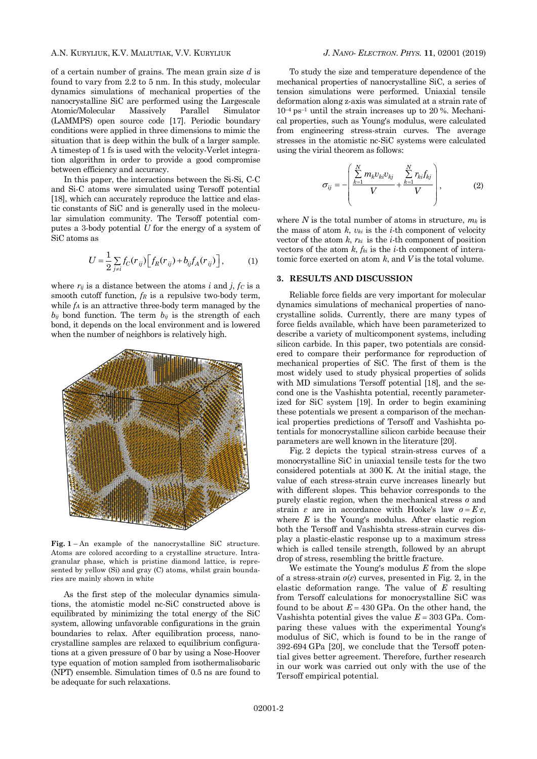## A.N. KURYLIUK, K.V. MALIUTIAK, V.V. KURYLIUK *J. NANO- ELECTRON. PHYS.* **[11](#page-0-2)**, [02001](#page-0-2) [\(2019\)](#page-0-2)

of a certain number of grains. The mean grain size *d* is found to vary from 2.2 to 5 nm. In this study, molecular dynamics simulations of mechanical properties of the nanocrystalline SiC are performed using the Largescale Atomic/Molecular Massively Parallel Simulator (LAMMPS) open source code [17]. Periodic boundary conditions were applied in three dimensions to mimic the situation that is deep within the bulk of a larger sample. A timestep of 1 fs is used with the velocity-Verlet integration algorithm in order to provide a good compromise between efficiency and accuracy.

In this paper, the interactions between the Si-Si, C-C and Si-C atoms were simulated using Tersoff potential [18], which can accurately reproduce the lattice and elastic constants of SiC and is generally used in the molecular simulation community. The Tersoff potential computes a 3-body potential *U* for the energy of a system of SiC atoms as

$$
U = \frac{1}{2} \sum_{j \neq i} f_C(r_{ij}) \Big[ f_R(r_{ij}) + b_{ij} f_A(r_{ij}) \Big],
$$
 (1)

where  $r_{ij}$  is a distance between the atoms *i* and *j*,  $f_c$  is a smooth cutoff function, *f<sup>R</sup>* is a repulsive two-body term, while *f<sup>A</sup>* is an attractive three-body term managed by the  $b_{ij}$  bond function. The term  $b_{ij}$  is the strength of each bond, it depends on the local environment and is lowered when the number of neighbors is relatively high.



**Fig. 1** – An example of the nanocrystalline SiC structure. Atoms are colored according to a crystalline structure. Intragranular phase, which is pristine diamond lattice, is represented by yellow (Si) and gray (C) atoms, whilst grain boundaries are mainly shown in white

As the first step of the molecular dynamics simulations, the atomistic model nc-SiC constructed above is equilibrated by minimizing the total energy of the SiC system, allowing unfavorable configurations in the grain boundaries to relax. After equilibration process, nanocrystalline samples are relaxed to equilibrium configurations at a given pressure of 0 bar by using a Nose-Hoover type equation of motion sampled from isothermalisobaric (NPT) ensemble. Simulation times of 0.5 ns are found to be adequate for such relaxations.

To study the size and temperature dependence of the mechanical properties of nanocrystalline SiC, a series of tension simulations were performed. Uniaxial tensile deformation along z-axis was simulated at a strain rate of  $10^{-4}$  ps<sup>-1</sup> until the strain increases up to 20 %. Mechanical properties, such as Young's modulus, were calculated from engineering stress-strain curves. The average stresses in the atomistic nc-SiC systems were calculated using the virial theorem as follows:

$$
\sigma_{ij} = -\left(\frac{\sum_{k=1}^{N} m_k v_{ki} v_{kj}}{V} + \frac{\sum_{k=1}^{N} r_{ki} f_{kj}}{V}\right),
$$
 (2)

where  $N$  is the total number of atoms in structure,  $m_k$  is the mass of atom  $k$ ,  $v_{ki}$  is the *i*-th component of velocity vector of the atom  $k$ ,  $r_{ki}$  is the *i*-th component of position vectors of the atom  $k$ ,  $f_{ki}$  is the *i*-th component of interatomic force exerted on atom *k*, and *V* is the total volume.

### **3. RESULTS AND DISCUSSION**

Reliable force fields are very important for molecular dynamics simulations of mechanical properties of nanocrystalline solids. Currently, there are many types of force fields available, which have been parameterized to describe a variety of multicomponent systems, including silicon carbide. In this paper, two potentials are considered to compare their performance for reproduction of mechanical properties of SiC. The first of them is the most widely used to study physical properties of solids with MD simulations Tersoff potential [18], and the second one is the Vashishta potential, recently parameterized for SiC system [19]. In order to begin examining these potentials we present a comparison of the mechanical properties predictions of Tersoff and Vashishta potentials for monocrystalline silicon carbide because their parameters are well known in the literature [20].

Fig. 2 depicts the typical strain-stress curves of a monocrystalline SiC in uniaxial tensile tests for the two considered potentials at 300 K. At the initial stage, the value of each stress-strain curve increases linearly but with different slopes. This behavior corresponds to the purely elastic region, when the mechanical stress *σ* and strain *ε* are in accordance with Hooke's law  $\sigma = E \varepsilon$ , where *E* is the Young's modulus. After elastic region both the Tersoff and Vashishta stress-strain curves display a plastic-elastic response up to a maximum stress which is called tensile strength, followed by an abrupt drop of stress, resembling the brittle fracture.

We estimate the Young's modulus *E* from the slope of a stress-strain *σ*(*ε*) curves, presented in Fig. 2, in the elastic deformation range. The value of *E* resulting from Tersoff calculations for monocrystalline SiC was found to be about  $E = 430$  GPa. On the other hand, the Vashishta potential gives the value  $E = 303$  GPa. Comparing these values with the experimental Young's modulus of SiC, which is found to be in the range of 392-694 GPa [20], we conclude that the Tersoff potential gives better agreement. Therefore, further research in our work was carried out only with the use of the Tersoff empirical potential.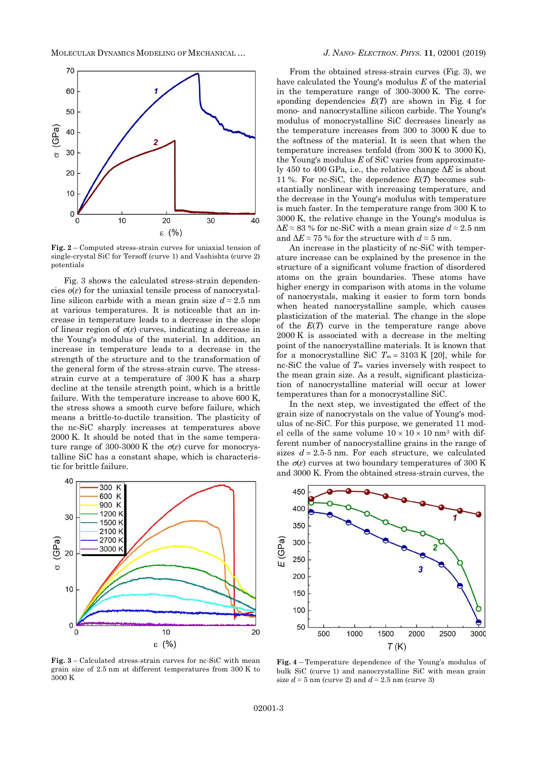

**Fig. 2** – Computed stress-strain curves for uniaxial tension of single-crystal SiC for Tersoff (curve 1) and Vashishta (curve 2) potentials

Fig. 3 shows the calculated stress-strain dependencies  $\sigma(\varepsilon)$  for the uniaxial tensile process of nanocrystalline silicon carbide with a mean grain size  $d \approx 2.5$  nm at various temperatures. It is noticeable that an increase in temperature leads to a decrease in the slope of linear region of  $\sigma(\varepsilon)$  curves, indicating a decrease in the Young's modulus of the material. In addition, an increase in temperature leads to a decrease in the strength of the structure and to the transformation of the general form of the stress-strain curve. The stressstrain curve at a temperature of 300 K has a sharp decline at the tensile strength point, which is a brittle failure. With the temperature increase to above 600 K, the stress shows a smooth curve before failure, which means a brittle-to-ductile transition. The plasticity of the nc-SiC sharply increases at temperatures above 2000 K. It should be noted that in the same temperature range of 300-3000 K the  $\sigma(\varepsilon)$  curve for monocrystalline SiC has a constant shape, which is characteristic for brittle failure.



From the obtained stress-strain curves (Fig. 3), we have calculated the Young's modulus *E* of the material in the temperature range of 300-3000 K. The corresponding dependencies *E*(*T*) are shown in Fig. 4 for mono- and nanocrystalline silicon carbide. The Young's modulus of monocrystalline SiC decreases linearly as the temperature increases from 300 to 3000 K due to the softness of the material. It is seen that when the temperature increases tenfold (from 300 K to 3000 K), the Young's modulus *E* of SiC varies from approximately 450 to 400 GPa, i.e., the relative change Δ*E* is about 11 %. For nc-SiC, the dependence *E*(*T*) becomes substantially nonlinear with increasing temperature, and the decrease in the Young's modulus with temperature is much faster. In the temperature range from 300 K to 3000 K, the relative change in the Young's modulus is  $\Delta E \approx 83$ % for nc-SiC with a mean grain size  $d \approx 2.5$  nm and  $\Delta E \approx 75$  % for the structure with  $d \approx 5$  nm.

An increase in the plasticity of nc-SiC with temperature increase can be explained by the presence in the structure of a significant volume fraction of disordered atoms on the grain boundaries. These atoms have higher energy in comparison with atoms in the volume of nanocrystals, making it easier to form torn bonds when heated nanocrystalline sample, which causes plasticization of the material. The change in the slope of the *E*(*T*) curve in the temperature range above 2000 K is associated with a decrease in the melting point of the nanocrystalline materials. It is known that for a monocrystalline SiC  $T_m = 3103 \text{ K}$  [20], while for nc-SiC the value of *T<sup>m</sup>* varies inversely with respect to the mean grain size. As a result, significant plasticization of nanocrystalline material will occur at lower temperatures than for a monocrystalline SiC.

In the next step, we investigated the effect of the grain size of nanocrystals on the value of Young's modulus of nc-SiC. For this purpose, we generated 11 model cells of the same volume  $10 \times 10 \times 10$  nm<sup>3</sup> with different number of nanocrystalline grains in the range of sizes  $d = 2.5-5$  nm. For each structure, we calculated the  $\sigma(\varepsilon)$  curves at two boundary temperatures of 300 K and 3000 K. From the obtained stress-strain curves, the



**Fig. 3** – Calculated stress-strain curves for nc-SiC with mean grain size of 2.5 nm at different temperatures from 300 K to 3000 K

**Fig. 4** – Temperature dependence of the Young's modulus of bulk SiC (curve 1) and nanocrystalline SiC with mean grain size  $d \approx 5$  nm (curve 2) and  $d \approx 2.5$  nm (curve 3)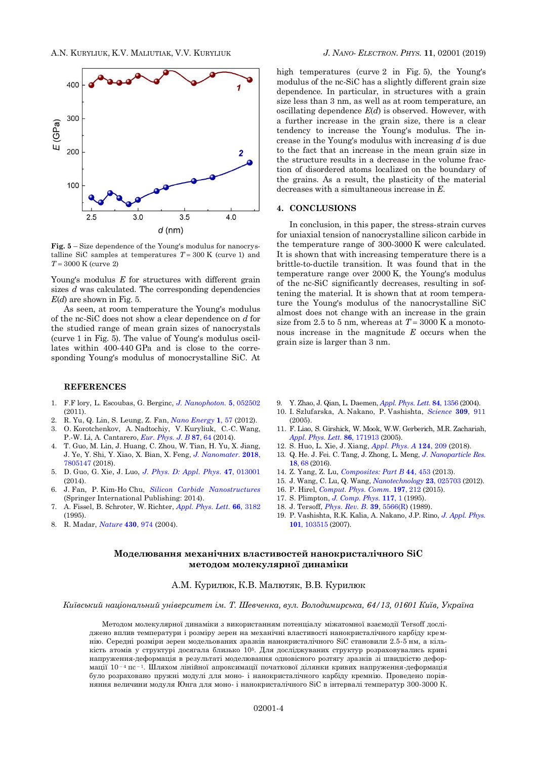

**Fig. 5** – Size dependence of the Young's modulus for nanocrystalline SiC samples at temperatures  $T = 300$  K (curve 1) and *T* = 3000 K (curve 2)

Young's modulus *E* for structures with different grain sizes *d* was calculated. The corresponding dependencies *E*(*d*) are shown in Fig. 5.

As seen, at room temperature the Young's modulus of the nc-SiC does not show a clear dependence on *d* for the studied range of mean grain sizes of nanocrystals (curve 1 in Fig. 5). The value of Young's modulus oscillates within 400-440 GPa and is close to the corresponding Young's modulus of monocrystalline SiC. At

## **REFERENCES**

- 1. F.F lory, L. Escoubas, G. Berginc, *[J. Nanophoton.](https://doi.org/10.1117/1.3609266)* **5**, 052502 (2011).
- 2. R. Yu, Q. Lin, S. Leung, Z. Fan, *[Nano Energy](https://doi.org/10.1016/j.nanoen.2011.10.002)* **1**, 57 (2012).
- 3. O. Korotchenkov, A. Nadtochiy, V. Kuryliuk, C.-C. Wang, P.-W. Li, A. Cantarero, *Eur. [Phys.](https://doi.org/10.1140/epjb/e2014-50074-8) J. B* **87**, 64 (2014).
- 4. T. Guo, M. Lin, J. Huang, C. Zhou, W. Tian, H. Yu, X. Jiang, J. Ye, Y. Shi, Y. Xiao, X. Bian, X. Feng, *[J. Nanomater.](https://doi.org/10.1155/2018/7805147)* **2018**, [7805147](https://doi.org/10.1155/2018/7805147) (2018).
- 5. D. Guo, G. Xie, J. Luo, *[J. Phys. D: Appl. Phys](https://doi.org/10.1088/0022-3727/47/1/013001)*. **47**, 013001  $(2014)$
- 6. J. Fan, P. Kim-Ho Chu, *[Silicon Carbide Nanostructures](https://doi.org/10.1007/978-3-319-08726-9_4)* (Springer International Publishing: 2014).
- 7. A. Fissel, B. Schroter, W. Richter, *[Appl. Phys. Lett.](https://doi.org/10.1063/1.113716)* **66**, 3182 (1995).
- 8. R. Madar, *[Nature](https://www.nature.com/articles/430974a)* **430**, 974 (2004).

high temperatures (curve 2 in Fig. 5), the Young's modulus of the nc-SiC has a slightly different grain size dependence. In particular, in structures with a grain size less than 3 nm, as well as at room temperature, an oscillating dependence *E*(*d*) is observed. However, with a further increase in the grain size, there is a clear tendency to increase the Young's modulus. The increase in the Young's modulus with increasing *d* is due to the fact that an increase in the mean grain size in the structure results in a decrease in the volume fraction of disordered atoms localized on the boundary of the grains. As a result, the plasticity of the material decreases with a simultaneous increase in *E*.

### **4. CONCLUSIONS**

In conclusion, in this paper, the stress-strain curves for uniaxial tension of nanocrystalline silicon carbide in the temperature range of 300-3000 K were calculated. It is shown that with increasing temperature there is a brittle-to-ductile transition. It was found that in the temperature range over 2000 K, the Young's modulus of the nc-SiC significantly decreases, resulting in softening the material. It is shown that at room temperature the Young's modulus of the nanocrystalline SiC almost does not change with an increase in the grain size from 2.5 to 5 nm, whereas at  $T = 3000$  K a monotonous increase in the magnitude *E* occurs when the grain size is larger than 3 nm.

- 9. Y. Zhao, J. Qian, L. Daemen, *[Appl. Phys. Lett.](https://doi.org/10.1063/1.1650556)* **84**, 1356 (2004).
- 10. I. Szlufarska, A. Nakano, P. Vashishta, *[Science](https://doi.org/10.1126/science.1114411)* **309**, 911  $(2005)$
- 11. F. Liao, S. Girshick, W. Mook, W.W. Gerberich, M.R. Zachariah, *[Appl. Phys. Lett.](https://doi.org/10.1063/1.1920434)* **86**, 171913 (2005).
- 12. S. Huo, L. Xie, J. Xiang, *[Appl. Phys. A](https://doi.org/10.1007/s00339-018-1624-3)* **124**, 209 (2018).
- 13. Q. He. J. Fei. C. Tang, J. Zhong, L. Meng, *J. [Nanoparticle Res.](https://doi.org/10.1007/s11051-016-3358-5)* **[18](https://doi.org/10.1007/s11051-016-3358-5)**, 68 (2016).
- 14. Z. Yang, Z. Lu, *[Composites: Part B](https://doi.org/10.1016/j.compositesb.2012.04.010)* **44**, 453 (2013).
- 15. J. Wang, C. Lu, Q. Wang, *[Nanotechnology](https://doi.org/10.1088/0957-4484/23/2/025703)* **23**, 025703 (2012).
- 16. P. Hirel, *[Comput. Phys. Comm.](https://doi.org/10.1016/j.cpc.2015.07.012)* **197**, 212 (2015).
- 17. S. Plimpton, *[J. Comp. Phys.](https://doi.org/10.1006/jcph.1995.1039)* **117**, 1 (1995).
- 18. J. Tersoff, *[Phys. Rev. B.](https://doi.org/10.1103/PhysRevB.39.5566)* **39**, 5566(R) (1989).
- 19. P. Vashishta, R.K. Kalia, A. Nakano, J.P. Rino, *[J. Appl. Phys.](https://doi.org/10.1063/1.2724570)* **101**[, 103515](https://doi.org/10.1063/1.2724570) (2007).

# **Моделювання механічних властивостей нанокристалічного SiC методом молекулярної динаміки**

### А.М. Курилюк, К.В. Малютяк, В.В. Курилюк

*Київський національний університет ім. Т. Шевченка, вул. Володимирська, 64/13, 01601 Київ, Україна*

Методом молекулярної динаміки з використанням потенціалу міжатомної взаємодії Tersoff досліджено вплив температури і розміру зерен на механічні властивості нанокристалічного карбіду кремнію. Середні розміри зерен модельованих зразків нанокристалічного SiC становили 2.5-5 нм, а кількість атомів у структурі досягала близько 105. Для досліджуваних структур розраховувались криві напруження-деформація в результаті моделювання одновісного розтягу зразків зі швидкістю деформації  $10^{-4}$  пс $^{-1}$ . Шляхом лінійної апроксимації початкової ділянки кривих напруження-деформація було розраховано пружні модулі для моно- і нанокристалічного карбіду кремнію. Проведено порівняння величини модуля Юнга для моно- і нанокристалічного SiC в інтервалі температур 300-3000 К.